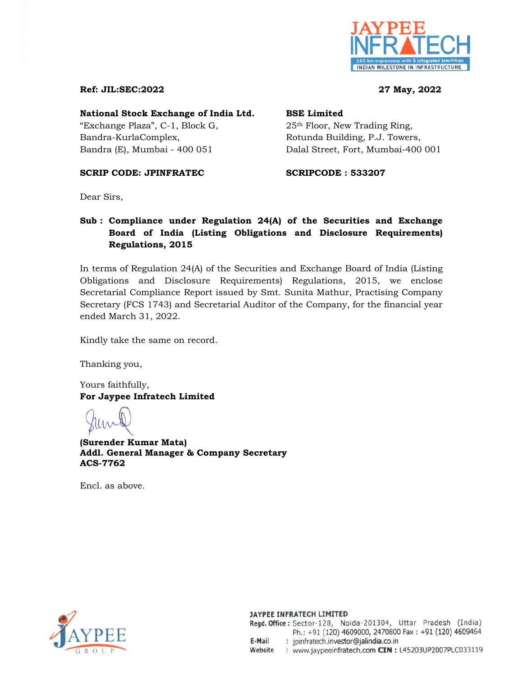

### **Ref: JIL:SEC:2022 27 May, 2022**

### **National Stock Exchange of India Ltd. BSE Limited**

"Exchange Plaza",  $C-1$ , Block G,  $25<sup>th</sup>$  Floor, New Trading Ring, Bandra-KurlaComplex, Rotunda Building, P.J. Towers,

Bandra (E), Mumbai - 400 051 Dalal Street, Fort, Mumbai-400 001

### **SCRIP CODE: JPINFRATEC 60 SCRIPCODE : 533207**

Dear Sirs,

## **Sub : Compliance under Regulation 24(A) of the Securities and Exchange Board of India (Listing Obligations and Disclosure Requirements) Regulations, 2015**

In terms of Regulation 24(A) of the Securities and Exchange Board of India (Listing Obligations and Disclosure Requirements) Regulations, 2015, we enclose Secretarial Compliance Report issued by Smt. Sunita Mathur, Practising Company Secretary (FCS 1743) and Secretarial Auditor of the Company, for the financial year ended March 31, 2022.

Kindly take the same on record.

Thanking you,

Yours faithfully, **For Jaypee Infratech Limited** 

**(Surender Kumar Mata) Addl. General Manager & Company Secretary ACS-7762**

Encl. as above.



### JAYPEE INFRATECH LIMITED Regd. Office: Sector-128, Noida-201304, Uttar Pradesh (India) Ph.: +91 (120) 4609000, 2470800 Fax: +91 (120) 4609464

: jpinfratech.investor@jalindia.co.in E-Mail

Website : www.jaypeeinfratech.com CIN : L45203UP2007PLC033119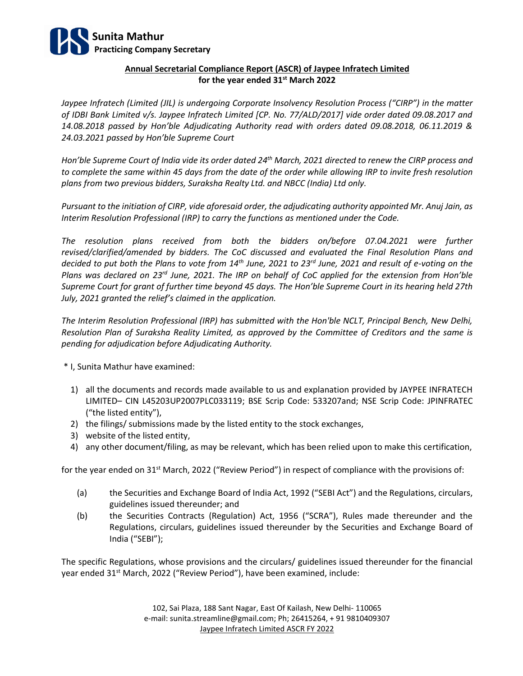

### **Annual Secretarial Compliance Report (ASCR) of Jaypee Infratech Limited for the year ended 31st March 2022**

*Jaypee Infratech (Limited (JIL) is undergoing Corporate Insolvency Resolution Process ("CIRP") in the matter of IDBI Bank Limited v/s. Jaypee Infratech Limited [CP. No. 77/ALD/2017] vide order dated 09.08.2017 and 14.08.2018 passed by Hon'ble Adjudicating Authority read with orders dated 09.08.2018, 06.11.2019 & 24.03.2021 passed by Hon'ble Supreme Court*

*Hon'ble Supreme Court of India vide its order dated 24th March, 2021 directed to renew the CIRP process and to complete the same within 45 days from the date of the order while allowing IRP to invite fresh resolution plans from two previous bidders, Suraksha Realty Ltd. and NBCC (India) Ltd only.* 

*Pursuant to the initiation of CIRP, vide aforesaid order, the adjudicating authority appointed Mr. Anuj Jain, as Interim Resolution Professional (IRP) to carry the functions as mentioned under the Code.*

*The resolution plans received from both the bidders on/before 07.04.2021 were further revised/clarified/amended by bidders. The CoC discussed and evaluated the Final Resolution Plans and decided to put both the Plans to vote from 14th June, 2021 to 23rd June, 2021 and result of e-voting on the Plans was declared on 23rd June, 2021. The IRP on behalf of CoC applied for the extension from Hon'ble Supreme Court for grant of further time beyond 45 days. The Hon'ble Supreme Court in its hearing held 27th July, 2021 granted the relief's claimed in the application.*

*The Interim Resolution Professional (IRP) has submitted with the Hon'ble NCLT, Principal Bench, New Delhi, Resolution Plan of Suraksha Reality Limited, as approved by the Committee of Creditors and the same is pending for adjudication before Adjudicating Authority.*

\* I, Sunita Mathur have examined:

- 1) all the documents and records made available to us and explanation provided by JAYPEE INFRATECH LIMITED– CIN L45203UP2007PLC033119; BSE Scrip Code: 533207and; NSE Scrip Code: JPINFRATEC ("the listed entity"),
- 2) the filings/ submissions made by the listed entity to the stock exchanges,
- 3) website of the listed entity,
- 4) any other document/filing, as may be relevant, which has been relied upon to make this certification,

for the year ended on 31<sup>st</sup> March, 2022 ("Review Period") in respect of compliance with the provisions of:

- (a) the Securities and Exchange Board of India Act, 1992 ("SEBI Act") and the Regulations, circulars, guidelines issued thereunder; and
- (b) the Securities Contracts (Regulation) Act, 1956 ("SCRA"), Rules made thereunder and the Regulations, circulars, guidelines issued thereunder by the Securities and Exchange Board of India ("SEBI");

The specific Regulations, whose provisions and the circulars/ guidelines issued thereunder for the financial year ended 31<sup>st</sup> March, 2022 ("Review Period"), have been examined, include:

> 102, Sai Plaza, 188 Sant Nagar, East Of Kailash, New Delhi- 110065 e-mail: sunita.streamline@gmail.com; Ph; 26415264, + 91 9810409307 Jaypee Infratech Limited ASCR FY 2022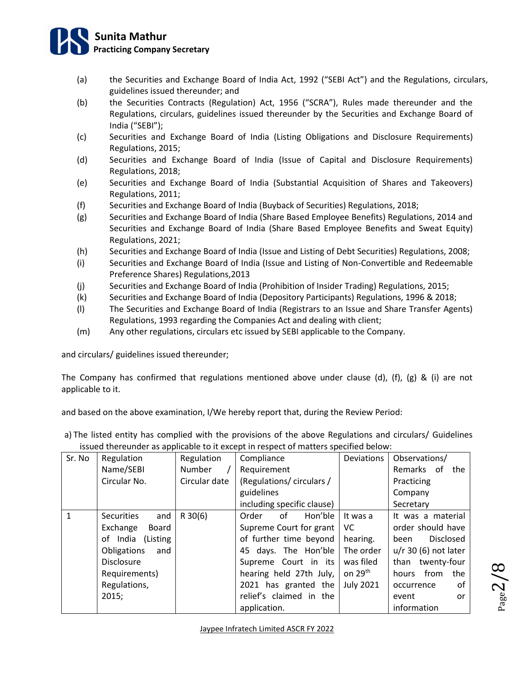# **Sunita Mathur Practicing Company Secretary**

- (a) the Securities and Exchange Board of India Act, 1992 ("SEBI Act") and the Regulations, circulars, guidelines issued thereunder; and
- (b) the Securities Contracts (Regulation) Act, 1956 ("SCRA"), Rules made thereunder and the Regulations, circulars, guidelines issued thereunder by the Securities and Exchange Board of India ("SEBI");
- (c) Securities and Exchange Board of India (Listing Obligations and Disclosure Requirements) Regulations, 2015;
- (d) Securities and Exchange Board of India (Issue of Capital and Disclosure Requirements) Regulations, 2018;
- (e) Securities and Exchange Board of India (Substantial Acquisition of Shares and Takeovers) Regulations, 2011;
- (f) Securities and Exchange Board of India (Buyback of Securities) Regulations, 2018;
- (g) Securities and Exchange Board of India (Share Based Employee Benefits) Regulations, 2014 and Securities and Exchange Board of India (Share Based Employee Benefits and Sweat Equity) Regulations, 2021;
- (h) Securities and Exchange Board of India (Issue and Listing of Debt Securities) Regulations, 2008;
- (i) Securities and Exchange Board of India (Issue and Listing of Non-Convertible and Redeemable Preference Shares) Regulations,2013
- (j) Securities and Exchange Board of India (Prohibition of Insider Trading) Regulations, 2015;
- (k) Securities and Exchange Board of India (Depository Participants) Regulations, 1996 & 2018;
- (l) The Securities and Exchange Board of India (Registrars to an Issue and Share Transfer Agents) Regulations, 1993 regarding the Companies Act and dealing with client;
- (m) Any other regulations, circulars etc issued by SEBI applicable to the Company.

and circulars/ guidelines issued thereunder;

The Company has confirmed that regulations mentioned above under clause (d), (f), (g) & (i) are not applicable to it.

and based on the above examination, I/We hereby report that, during the Review Period:

a) The listed entity has complied with the provisions of the above Regulations and circulars/ Guidelines issued thereunder as applicable to it except in respect of matters specified below:

| Sr. No       | Regulation               | Regulation<br>Compliance |                            | <b>Deviations</b>   | Observations/            |
|--------------|--------------------------|--------------------------|----------------------------|---------------------|--------------------------|
|              | Name/SEBI                | Number                   | Requirement                |                     | Remarks of<br>the        |
|              | Circular No.             | Circular date            | (Regulations/circulars/    |                     | Practicing               |
|              |                          |                          | guidelines                 |                     | Company                  |
|              |                          |                          | including specific clause) |                     | Secretary                |
| $\mathbf{1}$ | and<br><b>Securities</b> | $R$ 30(6)                | Hon'ble<br>of<br>Order     | It was a            | It was a material        |
|              | Exchange<br>Board        |                          | Supreme Court for grant    | VC.                 | order should have        |
|              | of India (Listing        |                          | of further time beyond     | hearing.            | <b>Disclosed</b><br>been |
|              | Obligations<br>and       |                          | 45 days. The Hon'ble       | The order           | $u/r$ 30 (6) not later   |
|              | <b>Disclosure</b>        |                          | Supreme Court in its       | was filed           | twenty-four<br>than      |
|              | Requirements)            |                          | hearing held 27th July,    | on 29 <sup>th</sup> | hours from<br>the        |
|              | Regulations,             |                          | 2021 has granted the       | <b>July 2021</b>    | 0f<br>occurrence         |
|              | 2015;                    |                          | relief's claimed in the    |                     | event<br><b>or</b>       |
|              |                          |                          | application.               |                     | information              |

Page  $\boldsymbol{\sim}$  $\checkmark$  $\infty$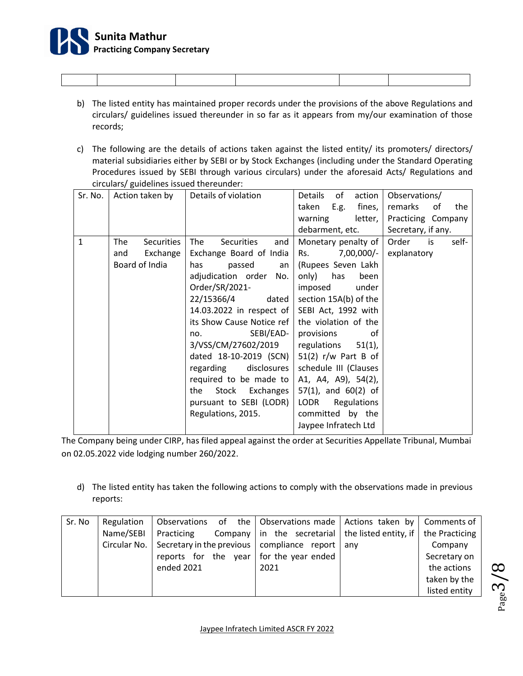

- b) The listed entity has maintained proper records under the provisions of the above Regulations and circulars/ guidelines issued thereunder in so far as it appears from my/our examination of those records;
- c) The following are the details of actions taken against the listed entity/ its promoters/ directors/ material subsidiaries either by SEBI or by Stock Exchanges (including under the Standard Operating Procedures issued by SEBI through various circulars) under the aforesaid Acts/ Regulations and circulars/ guidelines issued thereunder:

| Sr. No.      | Action taken by   | Details of violation      | Details<br>of<br>action  | Observations/        |
|--------------|-------------------|---------------------------|--------------------------|----------------------|
|              |                   |                           | taken<br>E.g.<br>fines,  | remarks<br>of<br>the |
|              |                   |                           | warning<br>letter,       | Practicing Company   |
|              |                   |                           | debarment, etc.          | Secretary, if any.   |
| $\mathbf{1}$ | The<br>Securities | Securities<br>and<br>The  | Monetary penalty of      | Order is<br>self-    |
|              | Exchange<br>and   | Exchange Board of India   | 7,00,000/-<br>Rs.        | explanatory          |
|              | Board of India    | passed an<br>has          | (Rupees Seven Lakh       |                      |
|              |                   | adjudication order No.    | only) has<br>been        |                      |
|              |                   | Order/SR/2021-            | imposed<br>under         |                      |
|              |                   | 22/15366/4<br>dated       | section 15A(b) of the    |                      |
|              |                   | 14.03.2022 in respect of  | SEBI Act, 1992 with      |                      |
|              |                   | its Show Cause Notice ref | the violation of the     |                      |
|              |                   | SEBI/EAD-<br>no.          | provisions<br>of         |                      |
|              |                   | 3/VSS/CM/27602/2019       | regulations 51(1),       |                      |
|              |                   | dated 18-10-2019 (SCN)    | $51(2)$ r/w Part B of    |                      |
|              |                   | regarding disclosures     | schedule III (Clauses    |                      |
|              |                   | required to be made to    | A1, A4, A9), 54(2),      |                      |
|              |                   | Stock Exchanges<br>the    | $57(1)$ , and $60(2)$ of |                      |
|              |                   | pursuant to SEBI (LODR)   | LODR<br>Regulations      |                      |
|              |                   | Regulations, 2015.        | committed by the         |                      |
|              |                   |                           | Jaypee Infratech Ltd     |                      |

The Company being under CIRP, has filed appeal against the order at Securities Appellate Tribunal, Mumbai on 02.05.2022 vide lodging number 260/2022.

d) The listed entity has taken the following actions to comply with the observations made in previous reports:

| Sr. No | Regulation |            | Observations of the Observations made   Actions taken by   Comments of       |               |
|--------|------------|------------|------------------------------------------------------------------------------|---------------|
|        | Name/SEBI  | Practicing | Company $ $ in the secretarial $ $ the listed entity, if $ $ the Practicing  |               |
|        |            |            | Circular No. Secretary in the previous $\vert$ compliance report $\vert$ any | Company       |
|        |            |            | reports for the year for the year ended                                      | Secretary on  |
|        |            | ended 2021 | 2021                                                                         | the actions   |
|        |            |            |                                                                              | taken by the  |
|        |            |            |                                                                              | listed entity |

Page ო  $\checkmark$  $\infty$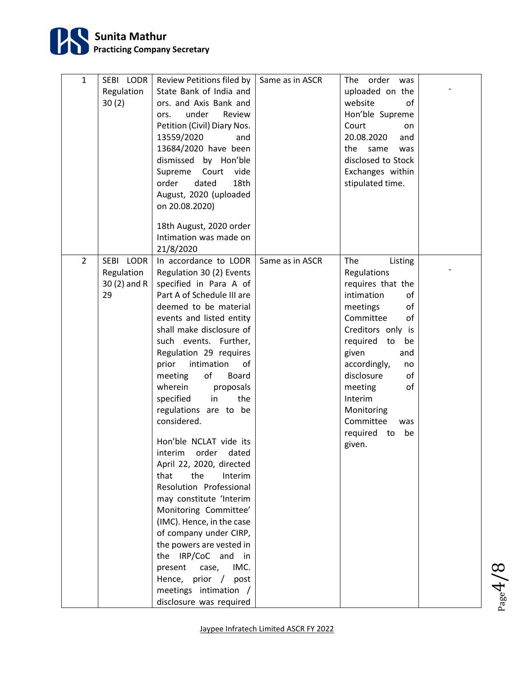

| $\mathbf{1}$   | SEBI LODR<br>Regulation<br>30(2)               | Review Petitions filed by<br>State Bank of India and<br>ors. and Axis Bank and<br>under<br>Review<br>ors.<br>Petition (Civil) Diary Nos.<br>13559/2020<br>and<br>13684/2020 have been<br>dismissed by Hon'ble<br>Supreme Court vide<br>dated<br>18th<br>order<br>August, 2020 (uploaded                                                                                                                                                                                                                                                                                                                                                                                                                                                                                                           | Same as in ASCR | The order was<br>uploaded on the<br>website<br>οf<br>Hon'ble Supreme<br>Court<br>on<br>20.08.2020<br>and<br>the same<br>was<br>disclosed to Stock<br>Exchanges within<br>stipulated time.                                                                                                                    |  |
|----------------|------------------------------------------------|---------------------------------------------------------------------------------------------------------------------------------------------------------------------------------------------------------------------------------------------------------------------------------------------------------------------------------------------------------------------------------------------------------------------------------------------------------------------------------------------------------------------------------------------------------------------------------------------------------------------------------------------------------------------------------------------------------------------------------------------------------------------------------------------------|-----------------|--------------------------------------------------------------------------------------------------------------------------------------------------------------------------------------------------------------------------------------------------------------------------------------------------------------|--|
|                |                                                | on 20.08.2020)<br>18th August, 2020 order<br>Intimation was made on<br>21/8/2020                                                                                                                                                                                                                                                                                                                                                                                                                                                                                                                                                                                                                                                                                                                  |                 |                                                                                                                                                                                                                                                                                                              |  |
| $\overline{2}$ | SEBI LODR<br>Regulation<br>$30(2)$ and R<br>29 | In accordance to LODR<br>Regulation 30 (2) Events<br>specified in Para A of<br>Part A of Schedule III are<br>deemed to be material<br>events and listed entity<br>shall make disclosure of<br>such events. Further,<br>Regulation 29 requires<br>intimation<br>prior<br>of<br>of<br>meeting<br>Board<br>wherein<br>proposals<br>specified in<br>the<br>regulations are to be<br>considered.<br>Hon'ble NCLAT vide its<br>interim order dated<br>April 22, 2020, directed<br>the<br>that<br>Interim<br>Resolution Professional<br>may constitute 'Interim<br>Monitoring Committee'<br>(IMC). Hence, in the case<br>of company under CIRP,<br>the powers are vested in<br>the IRP/CoC and in<br>IMC.<br>present<br>case,<br>Hence, prior / post<br>meetings intimation /<br>disclosure was required | Same as in ASCR | The<br>Listing<br>Regulations<br>requires that the<br>intimation<br>of<br>of<br>meetings<br>Committee<br>οf<br>Creditors only is<br>required to<br>be<br>given<br>and<br>accordingly,<br>no<br>disclosure<br>οf<br>meeting<br>of<br>Interim<br>Monitoring<br>Committee<br>was<br>required to<br>be<br>given. |  |

Page 4  $\checkmark$  $\infty$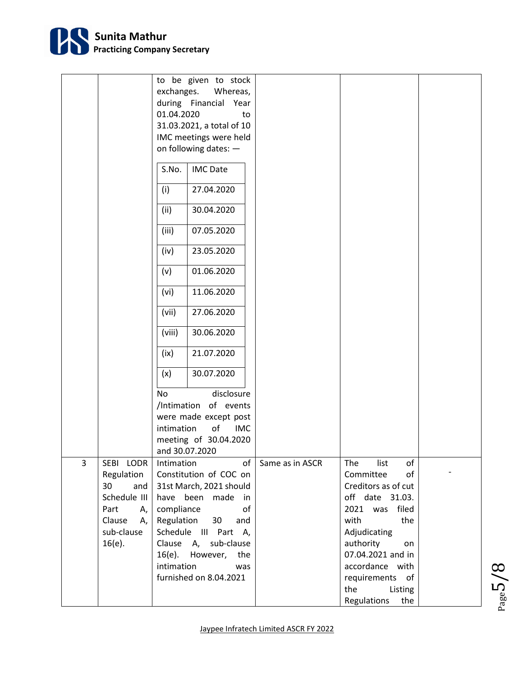

|   |              | to be given to stock           |                 |                                      |  |
|---|--------------|--------------------------------|-----------------|--------------------------------------|--|
|   |              | exchanges.<br>Whereas,         |                 |                                      |  |
|   |              | during Financial Year          |                 |                                      |  |
|   |              | 01.04.2020<br>to               |                 |                                      |  |
|   |              | 31.03.2021, a total of 10      |                 |                                      |  |
|   |              | IMC meetings were held         |                 |                                      |  |
|   |              | on following dates: -          |                 |                                      |  |
|   |              |                                |                 |                                      |  |
|   |              | S.No.<br><b>IMC Date</b>       |                 |                                      |  |
|   |              | (i)<br>27.04.2020              |                 |                                      |  |
|   |              | (ii)<br>30.04.2020             |                 |                                      |  |
|   |              | 07.05.2020<br>(iii)            |                 |                                      |  |
|   |              | (iv)<br>23.05.2020             |                 |                                      |  |
|   |              | 01.06.2020<br>(v)              |                 |                                      |  |
|   |              | 11.06.2020<br>(vi)             |                 |                                      |  |
|   |              | (vii)<br>27.06.2020            |                 |                                      |  |
|   |              | 30.06.2020<br>(viii)           |                 |                                      |  |
|   |              | 21.07.2020<br>(ix)             |                 |                                      |  |
|   |              | 30.07.2020<br>(x)              |                 |                                      |  |
|   |              | <b>No</b><br>disclosure        |                 |                                      |  |
|   |              | /Intimation of events          |                 |                                      |  |
|   |              | were made except post          |                 |                                      |  |
|   |              | intimation<br>of<br><b>IMC</b> |                 |                                      |  |
|   |              | meeting of 30.04.2020          |                 |                                      |  |
|   |              | and 30.07.2020                 |                 |                                      |  |
| 3 | SEBI LODR    | Intimation<br>of               | Same as in ASCR | of<br>The<br>list                    |  |
|   | Regulation   | Constitution of COC on         |                 | Committee<br>of                      |  |
|   | 30<br>and    | 31st March, 2021 should        |                 | Creditors as of cut                  |  |
|   | Schedule III | have been made in              |                 | off date 31.03.                      |  |
|   | Part<br>А,   | compliance<br>of               |                 | 2021 was<br>filed                    |  |
|   | Clause<br>А, | Regulation<br>30<br>and        |                 | with<br>the                          |  |
|   | sub-clause   | Schedule III Part A,           |                 | Adjudicating                         |  |
|   | $16(e)$ .    | Clause A, sub-clause           |                 | authority<br>on                      |  |
|   |              | 16(e). However, the            |                 | 07.04.2021 and in                    |  |
|   |              | intimation<br>was              |                 | accordance with                      |  |
|   |              | furnished on 8.04.2021         |                 | requirements of                      |  |
|   |              |                                |                 |                                      |  |
|   |              |                                |                 |                                      |  |
|   |              |                                |                 | the<br>Listing<br>Regulations<br>the |  |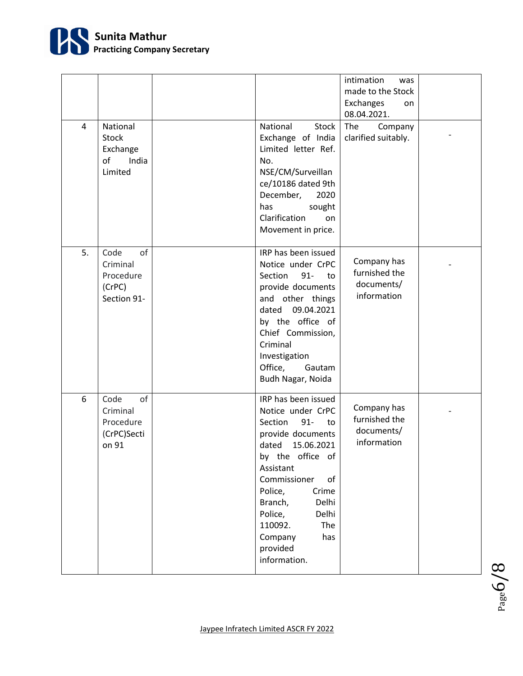

| 4  | National<br>Stock<br>Exchange<br>of<br>India<br>Limited      | National<br><b>Stock</b><br>Exchange of India<br>Limited letter Ref.<br>No.<br>NSE/CM/Surveillan<br>ce/10186 dated 9th<br>December,<br>2020<br>has<br>sought<br>Clarification<br>on<br>Movement in price.                                                                                          | intimation<br>was<br>made to the Stock<br>Exchanges<br>on<br>08.04.2021.<br>The<br>Company<br>clarified suitably. |  |
|----|--------------------------------------------------------------|----------------------------------------------------------------------------------------------------------------------------------------------------------------------------------------------------------------------------------------------------------------------------------------------------|-------------------------------------------------------------------------------------------------------------------|--|
| 5. | of<br>Code<br>Criminal<br>Procedure<br>(CrPC)<br>Section 91- | IRP has been issued<br>Notice under CrPC<br>$91 -$<br>Section<br>to<br>provide documents<br>and other things<br>09.04.2021<br>dated<br>by the office of<br>Chief Commission,<br>Criminal<br>Investigation<br>Office,<br>Gautam<br>Budh Nagar, Noida                                                | Company has<br>furnished the<br>documents/<br>information                                                         |  |
| 6  | of<br>Code<br>Criminal<br>Procedure<br>(CrPC)Secti<br>on 91  | IRP has been issued<br>Notice under CrPC<br>Section<br>$91 -$<br>to<br>provide documents<br>15.06.2021<br>dated<br>by the office of<br>Assistant<br>Commissioner<br>of<br>Police,<br>Crime<br>Branch,<br>Delhi<br>Police,<br>Delhi<br>110092.<br>The<br>has<br>Company<br>provided<br>information. | Company has<br>furnished the<br>documents/<br>information                                                         |  |

Page 6 $\checkmark$  $\infty$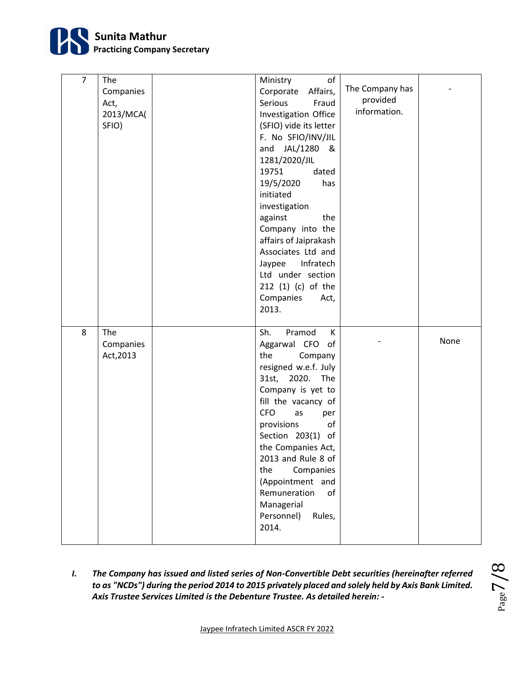

| $\overline{7}$ | The<br>Companies<br>Act,<br>2013/MCA(<br>SFIO) | of<br>Ministry<br>Corporate<br>Affairs,<br>Serious<br>Fraud<br>Investigation Office<br>(SFIO) vide its letter<br>F. No SFIO/INV/JIL<br>and JAL/1280<br>୍ଷ<br>1281/2020/JIL<br>19751<br>dated<br>19/5/2020<br>has<br>initiated<br>investigation<br>against<br>the<br>Company into the<br>affairs of Jaiprakash<br>Associates Ltd and<br>Jaypee<br>Infratech<br>Ltd under section<br>212 (1) (c) of the<br>Companies<br>Act,<br>2013. | The Company has<br>provided<br>information. |      |
|----------------|------------------------------------------------|-------------------------------------------------------------------------------------------------------------------------------------------------------------------------------------------------------------------------------------------------------------------------------------------------------------------------------------------------------------------------------------------------------------------------------------|---------------------------------------------|------|
| 8              | The<br>Companies<br>Act, 2013                  | Sh.<br>Pramod<br>К<br>Aggarwal CFO<br>of<br>the<br>Company<br>resigned w.e.f. July<br>31st, 2020.<br>The<br>Company is yet to<br>fill the vacancy of<br><b>CFO</b><br>as<br>per<br>provisions<br>of<br>Section 203(1) of<br>the Companies Act,<br>2013 and Rule 8 of<br>the<br>Companies<br>(Appointment and<br>Remuneration<br>of<br>Managerial<br>Personnel)<br>Rules,<br>2014.                                                   |                                             | None |

*I. The Company has issued and listed series of Non-Convertible Debt securities (hereinafter referred to as "NCDs") during the period 2014 to 2015 privately placed and solely held by Axis Bank Limited. Axis Trustee Services Limited is the Debenture Trustee. As detailed herein: -*

$$
P_{\rm age}7/8
$$